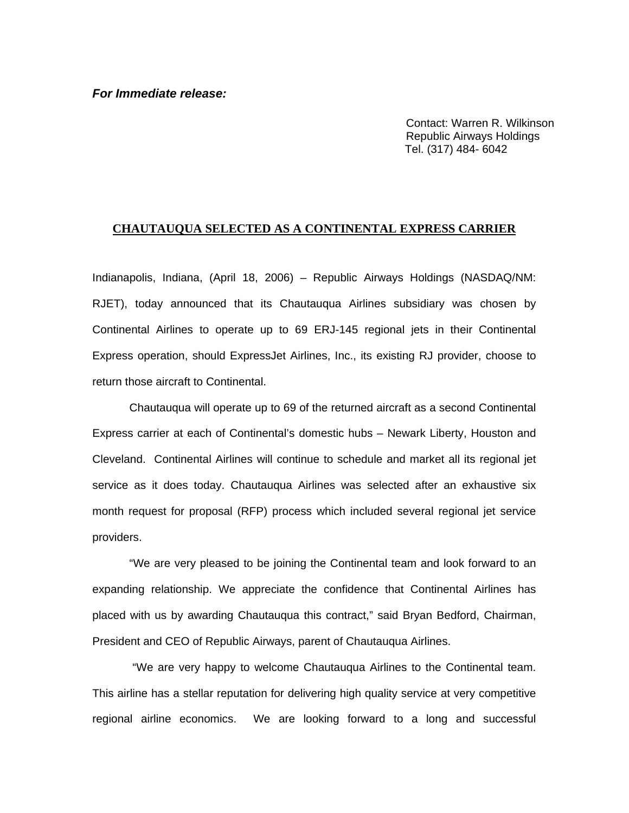Contact: Warren R. Wilkinson Republic Airways Holdings Tel. (317) 484- 6042

## **CHAUTAUQUA SELECTED AS A CONTINENTAL EXPRESS CARRIER**

Indianapolis, Indiana, (April 18, 2006) – Republic Airways Holdings (NASDAQ/NM: RJET), today announced that its Chautauqua Airlines subsidiary was chosen by Continental Airlines to operate up to 69 ERJ-145 regional jets in their Continental Express operation, should ExpressJet Airlines, Inc., its existing RJ provider, choose to return those aircraft to Continental.

Chautauqua will operate up to 69 of the returned aircraft as a second Continental Express carrier at each of Continental's domestic hubs – Newark Liberty, Houston and Cleveland. Continental Airlines will continue to schedule and market all its regional jet service as it does today. Chautauqua Airlines was selected after an exhaustive six month request for proposal (RFP) process which included several regional jet service providers.

"We are very pleased to be joining the Continental team and look forward to an expanding relationship. We appreciate the confidence that Continental Airlines has placed with us by awarding Chautauqua this contract," said Bryan Bedford, Chairman, President and CEO of Republic Airways, parent of Chautauqua Airlines.

 "We are very happy to welcome Chautauqua Airlines to the Continental team. This airline has a stellar reputation for delivering high quality service at very competitive regional airline economics. We are looking forward to a long and successful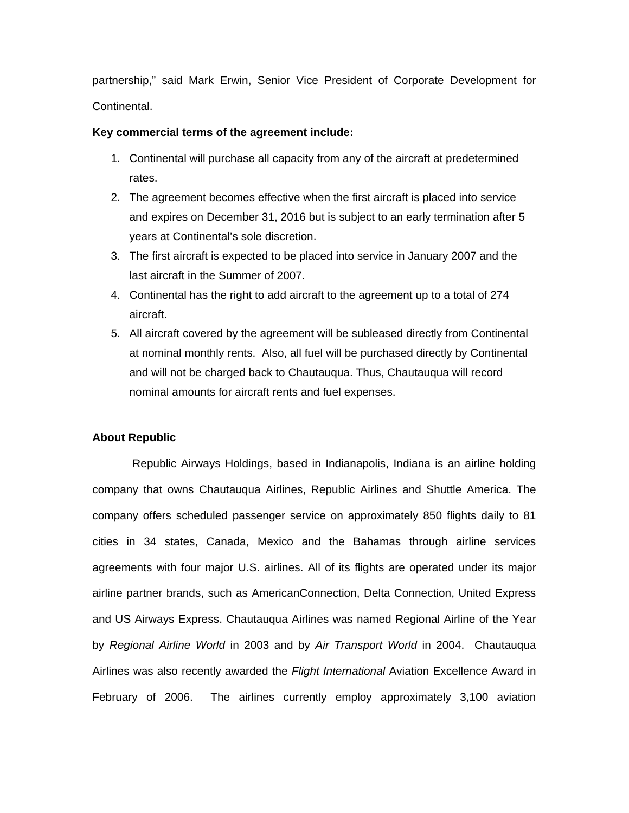partnership," said Mark Erwin, Senior Vice President of Corporate Development for Continental.

## **Key commercial terms of the agreement include:**

- 1. Continental will purchase all capacity from any of the aircraft at predetermined rates.
- 2. The agreement becomes effective when the first aircraft is placed into service and expires on December 31, 2016 but is subject to an early termination after 5 years at Continental's sole discretion.
- 3. The first aircraft is expected to be placed into service in January 2007 and the last aircraft in the Summer of 2007.
- 4. Continental has the right to add aircraft to the agreement up to a total of 274 aircraft.
- 5. All aircraft covered by the agreement will be subleased directly from Continental at nominal monthly rents. Also, all fuel will be purchased directly by Continental and will not be charged back to Chautauqua. Thus, Chautauqua will record nominal amounts for aircraft rents and fuel expenses.

## **About Republic**

 Republic Airways Holdings, based in Indianapolis, Indiana is an airline holding company that owns Chautauqua Airlines, Republic Airlines and Shuttle America. The company offers scheduled passenger service on approximately 850 flights daily to 81 cities in 34 states, Canada, Mexico and the Bahamas through airline services agreements with four major U.S. airlines. All of its flights are operated under its major airline partner brands, such as AmericanConnection, Delta Connection, United Express and US Airways Express. Chautauqua Airlines was named Regional Airline of the Year by *Regional Airline World* in 2003 and by *Air Transport World* in 2004. Chautauqua Airlines was also recently awarded the *Flight International* Aviation Excellence Award in February of 2006. The airlines currently employ approximately 3,100 aviation